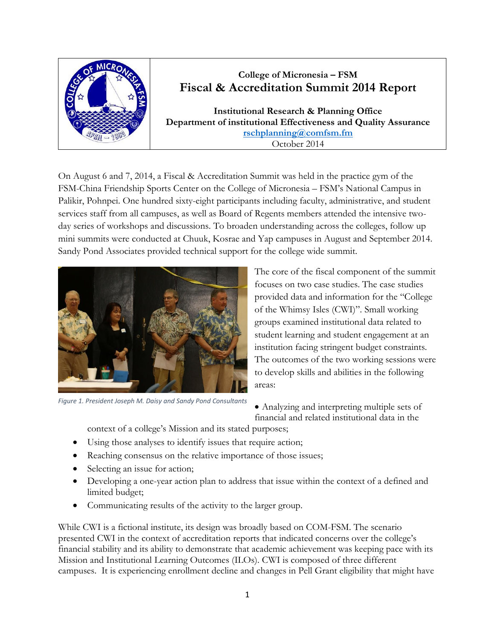

## **College of Micronesia – FSM Fiscal & Accreditation Summit 2014 Report**

**Institutional Research & Planning Office Department of institutional Effectiveness and Quality Assurance [rschplanning@comfsm.fm](mailto:rschplanning@comfsm.fm)** October 2014

On August 6 and 7, 2014, a Fiscal & Accreditation Summit was held in the practice gym of the FSM-China Friendship Sports Center on the College of Micronesia – FSM's National Campus in Palikir, Pohnpei. One hundred sixty-eight participants including faculty, administrative, and student services staff from all campuses, as well as Board of Regents members attended the intensive twoday series of workshops and discussions. To broaden understanding across the colleges, follow up mini summits were conducted at Chuuk, Kosrae and Yap campuses in August and September 2014. Sandy Pond Associates provided technical support for the college wide summit.



*Figure 1. President Joseph M. Daisy and Sandy Pond Consultants*

The core of the fiscal component of the summit focuses on two case studies. The case studies provided data and information for the "College of the Whimsy Isles (CWI)". Small working groups examined institutional data related to student learning and student engagement at an institution facing stringent budget constraints. The outcomes of the two working sessions were to develop skills and abilities in the following areas:

 Analyzing and interpreting multiple sets of financial and related institutional data in the

context of a college's Mission and its stated purposes;

- Using those analyses to identify issues that require action;
- Reaching consensus on the relative importance of those issues;
- Selecting an issue for action;
- Developing a one-year action plan to address that issue within the context of a defined and limited budget;
- Communicating results of the activity to the larger group.

While CWI is a fictional institute, its design was broadly based on COM-FSM. The scenario presented CWI in the context of accreditation reports that indicated concerns over the college's financial stability and its ability to demonstrate that academic achievement was keeping pace with its Mission and Institutional Learning Outcomes (ILOs). CWI is composed of three different campuses. It is experiencing enrollment decline and changes in Pell Grant eligibility that might have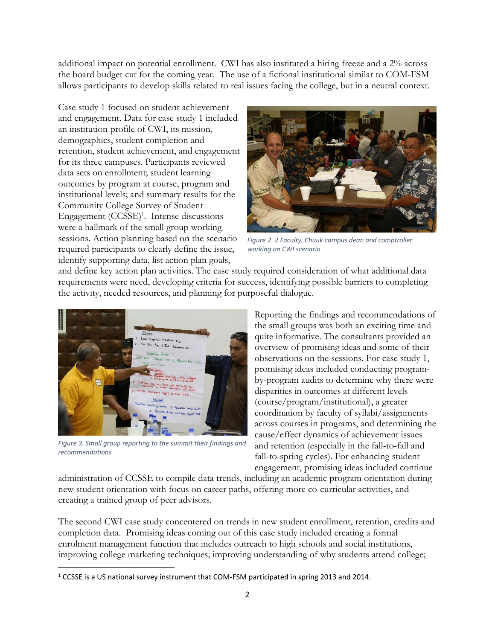additional impact on potential enrollment. CWI has also instituted a hiring freeze and a 2% across the board budget cut for the coming year. The use of a fictional institutional similar to COM-FSM allows participants to develop skills related to real issues facing the college, but in a neutral context.

Case study 1 focused on student achievement and engagement. Data for case study 1 included an institution profile of CWI, its mission, demographics, student completion and retention, student achievement, and engagement for its three campuses. Participants reviewed data sets on enrollment; student learning outcomes by program at course, program and institutional levels; and summary results for the Community College Survey of Student Engagement (CCSSE)<sup>1</sup>. Intense discussions were a hallmark of the small group working sessions. Action planning based on the scenario required participants to clearly define the issue, identify supporting data, list action plan goals,



*Figure 2. 2 Faculty, Chuuk campus dean and comptroller working on CWI scenario*

and define key action plan activities. The case study required consideration of what additional data requirements were need, developing criteria for success, identifying possible barriers to completing the activity, needed resources, and planning for purposeful dialogue.



*Figure 3. Small group reporting to the summit their findings and recommendations*

 $\overline{\phantom{a}}$ 

Reporting the findings and recommendations of the small groups was both an exciting time and quite informative. The consultants provided an overview of promising ideas and some of their observations on the sessions. For case study 1, promising ideas included conducting programby-program audits to determine why there were disparities in outcomes at different levels (course/program/institutional), a greater coordination by faculty of syllabi/assignments across courses in programs, and determining the cause/effect dynamics of achievement issues and retention (especially in the fall-to-fall and fall-to-spring cycles). For enhancing student engagement, promising ideas included continue

administration of CCSSE to compile data trends, including an academic program orientation during new student orientation with focus on career paths, offering more co-curricular activities, and creating a trained group of peer advisors.

The second CWI case study concentered on trends in new student enrollment, retention, credits and completion data. Promising ideas coming out of this case study included creating a formal enrolment management function that includes outreach to high schools and social institutions, improving college marketing techniques; improving understanding of why students attend college;

<sup>1</sup> CCSSE is a US national survey instrument that COM-FSM participated in spring 2013 and 2014.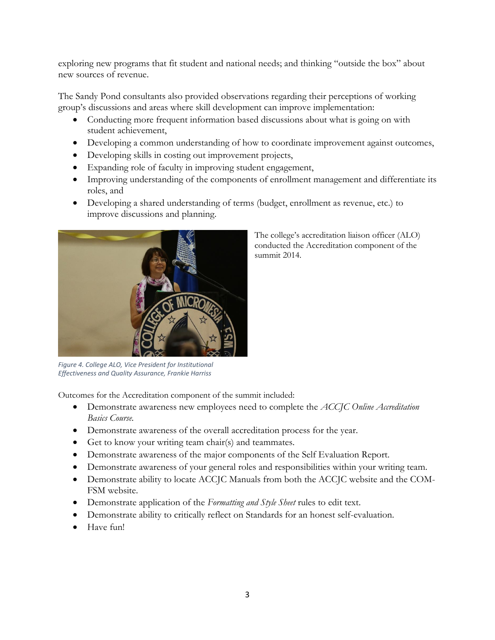exploring new programs that fit student and national needs; and thinking "outside the box" about new sources of revenue.

The Sandy Pond consultants also provided observations regarding their perceptions of working group's discussions and areas where skill development can improve implementation:

- Conducting more frequent information based discussions about what is going on with student achievement,
- Developing a common understanding of how to coordinate improvement against outcomes,
- Developing skills in costing out improvement projects,
- Expanding role of faculty in improving student engagement,
- Improving understanding of the components of enrollment management and differentiate its roles, and

summit 2014.

The college's accreditation liaison officer (ALO) conducted the Accreditation component of the

 Developing a shared understanding of terms (budget, enrollment as revenue, etc.) to improve discussions and planning.



*Figure 4. College ALO, Vice President for Institutional Effectiveness and Quality Assurance, Frankie Harriss*

Outcomes for the Accreditation component of the summit included:

- Demonstrate awareness new employees need to complete the *ACCJC Online Accreditation Basics Course.*
- Demonstrate awareness of the overall accreditation process for the year.
- Get to know your writing team chair(s) and teammates.
- Demonstrate awareness of the major components of the Self Evaluation Report.
- Demonstrate awareness of your general roles and responsibilities within your writing team.
- Demonstrate ability to locate ACCJC Manuals from both the ACCJC website and the COM-FSM website.
- Demonstrate application of the *Formatting and Style Sheet* rules to edit text.
- Demonstrate ability to critically reflect on Standards for an honest self-evaluation.
- Have fun!